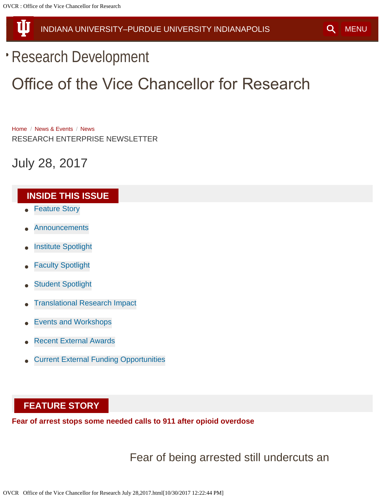<span id="page-0-1"></span>Ш

# [Research Development](file:///index.php)

# Office of the Vice Chancellor for Research

[Home](file:///index.php) / [News & Events](file:///index.php/news-events) / [News](file:///index.php/news-events/news) RESEARCH ENTERPRISE NEWSLETTER

July 28, 2017

#### <span id="page-0-2"></span>**INSIDE THIS ISSUE**

- [Feature Story](#page-0-0)
- **[Announcements](#page-3-0)**
- [Institute Spotlight](#page-7-0)
- [Faculty Spotlight](#page-9-0)
- [Student Spotlight](#page-11-0)
- [Translational Research Impact](#page-14-0)
- [Events and Workshops](#page-17-0)
- [Recent External Awards](#page-21-0)
- [Current External Funding Opportunities](#page-31-0)

#### <span id="page-0-0"></span>**FEATURE STORY**

**Fear of arrest stops some needed calls to 911 after opioid overdose**

Fear of being arrested still undercuts an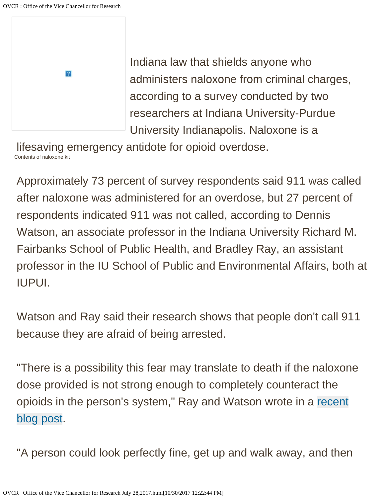

Indiana law that shields anyone who administers naloxone from criminal charges, according to a survey conducted by two researchers at Indiana University-Purdue University Indianapolis. Naloxone is a

Contents of naloxone kit lifesaving emergency antidote for opioid overdose.

Approximately 73 percent of survey respondents said 911 was called after naloxone was administered for an overdose, but 27 percent of respondents indicated 911 was not called, according to Dennis Watson, an associate professor in the Indiana University Richard M. Fairbanks School of Public Health, and Bradley Ray, an assistant professor in the IU School of Public and Environmental Affairs, both at IUPUI.

Watson and Ray said their research shows that people don't call 911 because they are afraid of being arrested.

"There is a possibility this fear may translate to death if the naloxone dose provided is not strong enough to completely counteract the opioids in the person's system," Ray and Watson wrote in a [recent](http://blogs.iu.edu/speaindy/2017/06/30/fentanyl-related-deaths-lead-another-record-year-for-drug-overdoses-in-marion-county/) [blog post.](http://blogs.iu.edu/speaindy/2017/06/30/fentanyl-related-deaths-lead-another-record-year-for-drug-overdoses-in-marion-county/)

"A person could look perfectly fine, get up and walk away, and then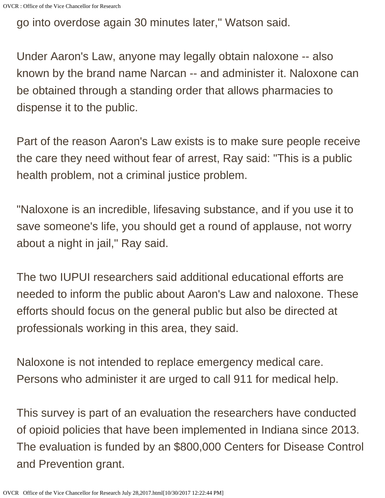go into overdose again 30 minutes later," Watson said.

Under Aaron's Law, anyone may legally obtain naloxone -- also known by the brand name Narcan -- and administer it. Naloxone can be obtained through a standing order that allows pharmacies to dispense it to the public.

Part of the reason Aaron's Law exists is to make sure people receive the care they need without fear of arrest, Ray said: "This is a public health problem, not a criminal justice problem.

"Naloxone is an incredible, lifesaving substance, and if you use it to save someone's life, you should get a round of applause, not worry about a night in jail," Ray said.

The two IUPUI researchers said additional educational efforts are needed to inform the public about Aaron's Law and naloxone. These efforts should focus on the general public but also be directed at professionals working in this area, they said.

Naloxone is not intended to replace emergency medical care. Persons who administer it are urged to call 911 for medical help.

This survey is part of an evaluation the researchers have conducted of opioid policies that have been implemented in Indiana since 2013. The evaluation is funded by an \$800,000 Centers for Disease Control and Prevention grant.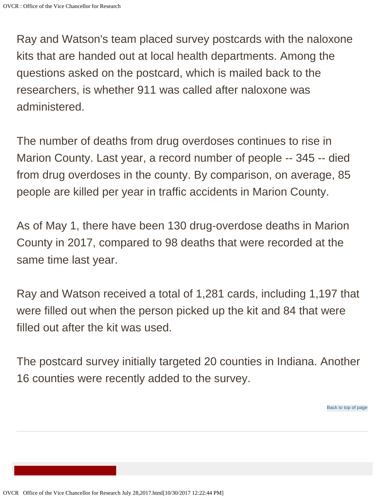Ray and Watson's team placed survey postcards with the naloxone kits that are handed out at local health departments. Among the questions asked on the postcard, which is mailed back to the researchers, is whether 911 was called after naloxone was administered.

The number of deaths from drug overdoses continues to rise in Marion County. Last year, a record number of people -- 345 -- died from drug overdoses in the county. By comparison, on average, 85 people are killed per year in traffic accidents in Marion County.

As of May 1, there have been 130 drug-overdose deaths in Marion County in 2017, compared to 98 deaths that were recorded at the same time last year.

Ray and Watson received a total of 1,281 cards, including 1,197 that were filled out when the person picked up the kit and 84 that were filled out after the kit was used.

<span id="page-3-0"></span>The postcard survey initially targeted 20 counties in Indiana. Another 16 counties were recently added to the survey.

[Back to top of page](#page-0-2)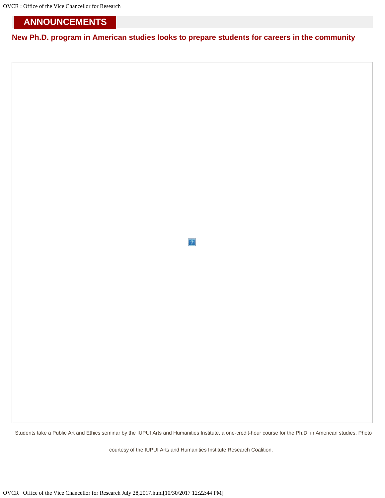OVCR : Office of the Vice Chancellor for Research

#### **ANNOUNCEMENTS**

**New Ph.D. program in American studies looks to prepare students for careers in the community**

 $\overline{?}$ 

Students take a Public Art and Ethics seminar by the IUPUI Arts and Humanities Institute, a one-credit-hour course for the Ph.D. in American studies. Photo

courtesy of the IUPUI Arts and Humanities Institute Research Coalition.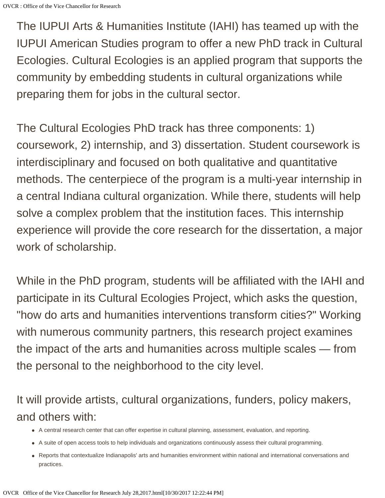The IUPUI Arts & Humanities Institute (IAHI) has teamed up with the IUPUI American Studies program to offer a new PhD track in Cultural Ecologies. Cultural Ecologies is an applied program that supports the community by embedding students in cultural organizations while preparing them for jobs in the cultural sector.

The Cultural Ecologies PhD track has three components: 1) coursework, 2) internship, and 3) dissertation. Student coursework is interdisciplinary and focused on both qualitative and quantitative methods. The centerpiece of the program is a multi-year internship in a central Indiana cultural organization. While there, students will help solve a complex problem that the institution faces. This internship experience will provide the core research for the dissertation, a major work of scholarship.

While in the PhD program, students will be affiliated with the IAHI and participate in its Cultural Ecologies Project, which asks the question, "how do arts and humanities interventions transform cities?" Working with numerous community partners, this research project examines the impact of the arts and humanities across multiple scales — from the personal to the neighborhood to the city level.

It will provide artists, cultural organizations, funders, policy makers, and others with:

- A central research center that can offer expertise in cultural planning, assessment, evaluation, and reporting.
- A suite of open access tools to help individuals and organizations continuously assess their cultural programming.
- Reports that contextualize Indianapolis' arts and humanities environment within national and international conversations and practices.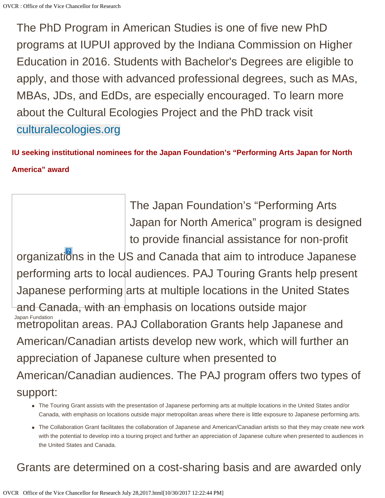The PhD Program in American Studies is one of five new PhD programs at IUPUI approved by the Indiana Commission on Higher Education in 2016. Students with Bachelor's Degrees are eligible to apply, and those with advanced professional degrees, such as MAs, MBAs, JDs, and EdDs, are especially encouraged. To learn more about the Cultural Ecologies Project and the PhD track visit [culturalecologies.org](http://culturalecologies.org/)

**IU seeking institutional nominees for the Japan Foundation's "Performing Arts Japan for North America" award**

Japan Fundation The Japan Foundation's "Performing Arts Japan for North America" program is designed to provide financial assistance for non-profit organizations in the US and Canada that aim to introduce Japanese performing arts to local audiences. PAJ Touring Grants help present Japanese performing arts at multiple locations in the United States and Canada, with an emphasis on locations outside major metropolitan areas. PAJ Collaboration Grants help Japanese and American/Canadian artists develop new work, which will further an appreciation of Japanese culture when presented to American/Canadian audiences. The PAJ program offers two types of support:

- The Touring Grant assists with the presentation of Japanese performing arts at multiple locations in the United States and/or Canada, with emphasis on locations outside major metropolitan areas where there is little exposure to Japanese performing arts.
- The Collaboration Grant facilitates the collaboration of Japanese and American/Canadian artists so that they may create new work with the potential to develop into a touring project and further an appreciation of Japanese culture when presented to audiences in the United States and Canada.

### Grants are determined on a cost-sharing basis and are awarded only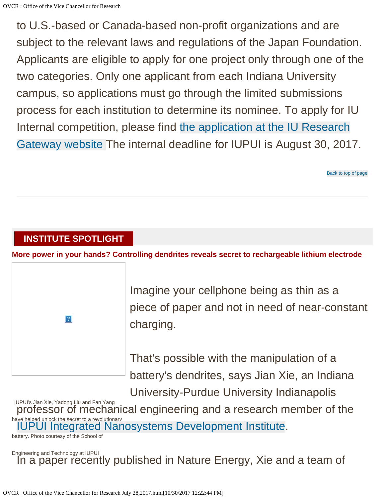to U.S.-based or Canada-based non-profit organizations and are subject to the relevant laws and regulations of the Japan Foundation. Applicants are eligible to apply for one project only through one of the two categories. Only one applicant from each Indiana University campus, so applications must go through the limited submissions process for each institution to determine its nominee. To apply for IU Internal competition, please find [the application at the IU Research](http://limsub.iu.edu/limsub/LimSubDetail.asp?Number=4070) [Gateway website](http://limsub.iu.edu/limsub/LimSubDetail.asp?Number=4070) The internal deadline for IUPUI is August 30, 2017.

[Back to top of page](#page-0-2)

#### <span id="page-7-0"></span>**INSTITUTE SPOTLIGHT**

**More power in your hands? Controlling dendrites reveals secret to rechargeable lithium electrode**



Imagine your cellphone being as thin as a piece of paper and not in need of near-constant charging.

That's possible with the manipulation of a battery's dendrites, says Jian Xie, an Indiana University-Purdue University Indianapolis

IUPUI's Jian Xie, Yadong Liu and Fan Yang have helped unlock the secret to a revolutionary professor of mechanical engineering and a research member of the [IUPUI Integrated Nanosystems Development Institute](http://indi.iupui.edu/).

battery. Photo courtesy of the School of

Engineering and Technology at IUPUI In a paper recently published in Nature Energy, Xie and a team of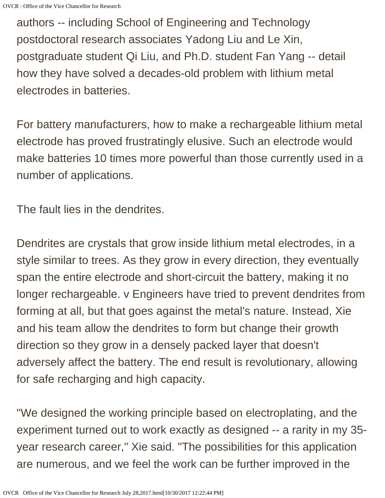authors -- including School of Engineering and Technology postdoctoral research associates Yadong Liu and Le Xin, postgraduate student Qi Liu, and Ph.D. student Fan Yang -- detail how they have solved a decades-old problem with lithium metal electrodes in batteries.

For battery manufacturers, how to make a rechargeable lithium metal electrode has proved frustratingly elusive. Such an electrode would make batteries 10 times more powerful than those currently used in a number of applications.

The fault lies in the dendrites.

Dendrites are crystals that grow inside lithium metal electrodes, in a style similar to trees. As they grow in every direction, they eventually span the entire electrode and short-circuit the battery, making it no longer rechargeable. v Engineers have tried to prevent dendrites from forming at all, but that goes against the metal's nature. Instead, Xie and his team allow the dendrites to form but change their growth direction so they grow in a densely packed layer that doesn't adversely affect the battery. The end result is revolutionary, allowing for safe recharging and high capacity.

"We designed the working principle based on electroplating, and the experiment turned out to work exactly as designed -- a rarity in my 35 year research career," Xie said. "The possibilities for this application are numerous, and we feel the work can be further improved in the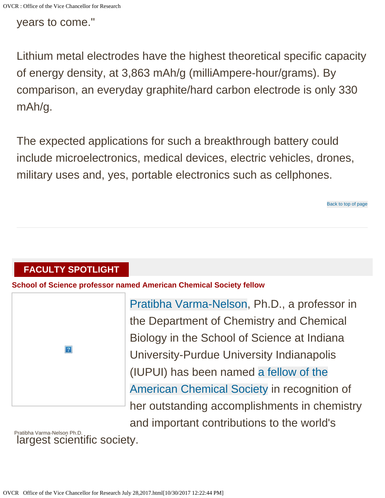years to come."

Lithium metal electrodes have the highest theoretical specific capacity of energy density, at 3,863 mAh/g (milliAmpere-hour/grams). By comparison, an everyday graphite/hard carbon electrode is only 330 mAh/g.

The expected applications for such a breakthrough battery could include microelectronics, medical devices, electric vehicles, drones, military uses and, yes, portable electronics such as cellphones.

[Back to top of page](#page-0-2)

### <span id="page-9-0"></span>**FACULTY SPOTLIGHT**

**School of Science professor named American Chemical Society fellow**

|                | F |
|----------------|---|
|                | t |
|                | E |
| $\overline{?}$ |   |
|                |   |
|                | f |
|                | ŀ |

[Pratibha Varma-Nelson,](http://chem.iupui.edu/people/pratibha-varma-nelson) Ph.D., a professor in the Department of Chemistry and Chemical Biology in the School of Science at Indiana University-Purdue University Indianapolis (IUPUI) has been named [a fellow of the](https://www.acs.org/content/acs/en/pressroom/newsreleases/2017/june/acs-names-fellows-for-2017.html) [American Chemical Society](https://www.acs.org/content/acs/en/pressroom/newsreleases/2017/june/acs-names-fellows-for-2017.html) in recognition of her outstanding accomplishments in chemistry and important contributions to the world's

Pratibha Varma-Nelson Ph.D. largest scientific society.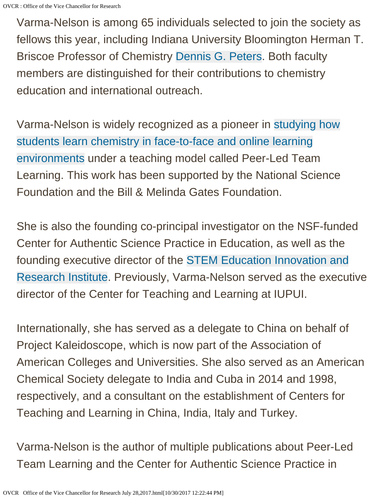Varma-Nelson is among 65 individuals selected to join the society as fellows this year, including Indiana University Bloomington Herman T. Briscoe Professor of Chemistry [Dennis G. Peters](http://peters.chem.indiana.edu/). Both faculty members are distinguished for their contributions to chemistry education and international outreach.

Varma-Nelson is widely recognized as a pioneer in [studying how](http://cpltl.iupui.edu/) [students learn chemistry in face-to-face and online learning](http://cpltl.iupui.edu/) [environments](http://cpltl.iupui.edu/) under a teaching model called Peer-Led Team Learning. This work has been supported by the National Science Foundation and the Bill & Melinda Gates Foundation.

She is also the founding co-principal investigator on the NSF-funded Center for Authentic Science Practice in Education, as well as the founding executive director of the [STEM Education Innovation and](https://seiri.iupui.edu/) [Research Institute.](https://seiri.iupui.edu/) Previously, Varma-Nelson served as the executive director of the Center for Teaching and Learning at IUPUI.

Internationally, she has served as a delegate to China on behalf of Project Kaleidoscope, which is now part of the Association of American Colleges and Universities. She also served as an American Chemical Society delegate to India and Cuba in 2014 and 1998, respectively, and a consultant on the establishment of Centers for Teaching and Learning in China, India, Italy and Turkey.

Varma-Nelson is the author of multiple publications about Peer-Led Team Learning and the Center for Authentic Science Practice in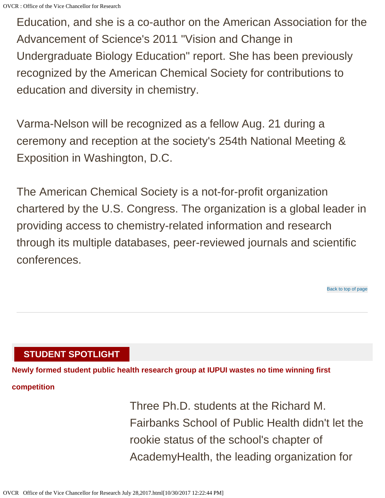Education, and she is a co-author on the American Association for the Advancement of Science's 2011 "Vision and Change in Undergraduate Biology Education" report. She has been previously recognized by the American Chemical Society for contributions to education and diversity in chemistry.

Varma-Nelson will be recognized as a fellow Aug. 21 during a ceremony and reception at the society's 254th National Meeting & Exposition in Washington, D.C.

The American Chemical Society is a not-for-profit organization chartered by the U.S. Congress. The organization is a global leader in providing access to chemistry-related information and research through its multiple databases, peer-reviewed journals and scientific conferences.

[Back to top of page](#page-0-2)

#### <span id="page-11-0"></span>**STUDENT SPOTLIGHT**

**Newly formed student public health research group at IUPUI wastes no time winning first**

#### **competition**

Three Ph.D. students at the Richard M. Fairbanks School of Public Health didn't let the rookie status of the school's chapter of AcademyHealth, the leading organization for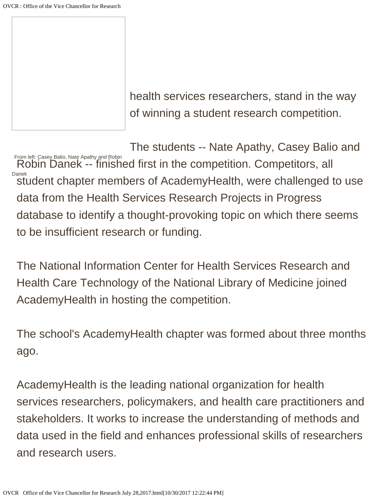health services researchers, stand in the way of winning a student research competition.

From left: Casey Balio, Nate Apathy and Robin Danek The students -- Nate Apathy, Casey Balio and Robin Danek -- finished first in the competition. Competitors, all student chapter members of AcademyHealth, were challenged to use data from the Health Services Research Projects in Progress database to identify a thought-provoking topic on which there seems to be insufficient research or funding.

The National Information Center for Health Services Research and Health Care Technology of the National Library of Medicine joined AcademyHealth in hosting the competition.

The school's AcademyHealth chapter was formed about three months ago.

AcademyHealth is the leading national organization for health services researchers, policymakers, and health care practitioners and stakeholders. It works to increase the understanding of methods and data used in the field and enhances professional skills of researchers and research users.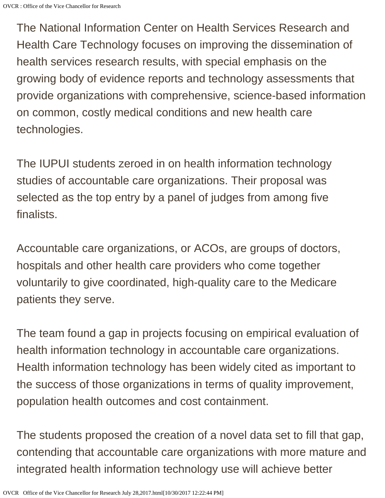The National Information Center on Health Services Research and Health Care Technology focuses on improving the dissemination of health services research results, with special emphasis on the growing body of evidence reports and technology assessments that provide organizations with comprehensive, science-based information on common, costly medical conditions and new health care technologies.

The IUPUI students zeroed in on health information technology studies of accountable care organizations. Their proposal was selected as the top entry by a panel of judges from among five finalists.

Accountable care organizations, or ACOs, are groups of doctors, hospitals and other health care providers who come together voluntarily to give coordinated, high-quality care to the Medicare patients they serve.

The team found a gap in projects focusing on empirical evaluation of health information technology in accountable care organizations. Health information technology has been widely cited as important to the success of those organizations in terms of quality improvement, population health outcomes and cost containment.

The students proposed the creation of a novel data set to fill that gap, contending that accountable care organizations with more mature and integrated health information technology use will achieve better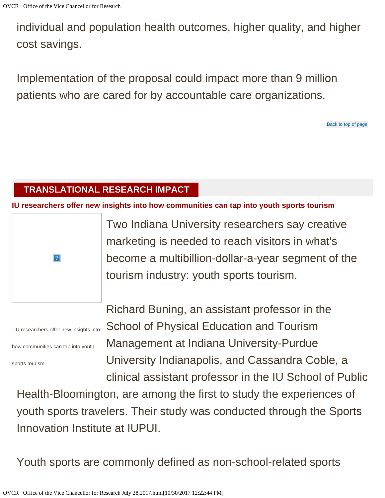individual and population health outcomes, higher quality, and higher cost savings.

Implementation of the proposal could impact more than 9 million patients who are cared for by accountable care organizations.

#### [Back to top of page](#page-0-2)

#### <span id="page-14-0"></span>**TRANSLATIONAL RESEARCH IMPACT**

**IU researchers offer new insights into how communities can tap into youth sports tourism**



IU researchers offer new insights into

how communities can tap into youth

sports tourism

Two Indiana University researchers say creative marketing is needed to reach visitors in what's become a multibillion-dollar-a-year segment of the tourism industry: youth sports tourism.

Richard Buning, an assistant professor in the School of Physical Education and Tourism Management at Indiana University-Purdue University Indianapolis, and Cassandra Coble, a clinical assistant professor in the IU School of Public

Health-Bloomington, are among the first to study the experiences of youth sports travelers. Their study was conducted through the Sports Innovation Institute at IUPUI.

Youth sports are commonly defined as non-school-related sports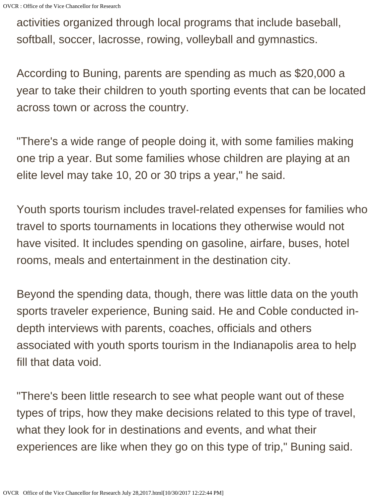activities organized through local programs that include baseball, softball, soccer, lacrosse, rowing, volleyball and gymnastics.

According to Buning, parents are spending as much as \$20,000 a year to take their children to youth sporting events that can be located across town or across the country.

"There's a wide range of people doing it, with some families making one trip a year. But some families whose children are playing at an elite level may take 10, 20 or 30 trips a year," he said.

Youth sports tourism includes travel-related expenses for families who travel to sports tournaments in locations they otherwise would not have visited. It includes spending on gasoline, airfare, buses, hotel rooms, meals and entertainment in the destination city.

Beyond the spending data, though, there was little data on the youth sports traveler experience, Buning said. He and Coble conducted indepth interviews with parents, coaches, officials and others associated with youth sports tourism in the Indianapolis area to help fill that data void.

"There's been little research to see what people want out of these types of trips, how they make decisions related to this type of travel, what they look for in destinations and events, and what their experiences are like when they go on this type of trip," Buning said.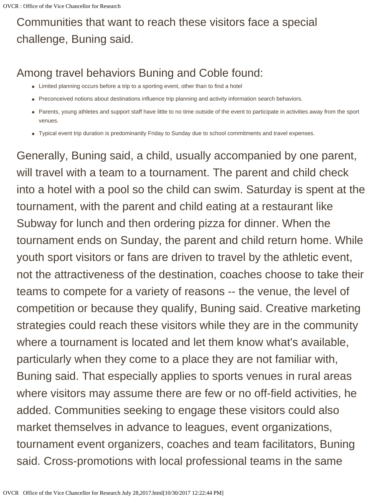## Communities that want to reach these visitors face a special challenge, Buning said.

### Among travel behaviors Buning and Coble found:

- Limited planning occurs before a trip to a sporting event, other than to find a hotel
- Preconceived notions about destinations influence trip planning and activity information search behaviors.
- Parents, young athletes and support staff have little to no time outside of the event to participate in activities away from the sport venues.
- Typical event trip duration is predominantly Friday to Sunday due to school commitments and travel expenses.

Generally, Buning said, a child, usually accompanied by one parent, will travel with a team to a tournament. The parent and child check into a hotel with a pool so the child can swim. Saturday is spent at the tournament, with the parent and child eating at a restaurant like Subway for lunch and then ordering pizza for dinner. When the tournament ends on Sunday, the parent and child return home. While youth sport visitors or fans are driven to travel by the athletic event, not the attractiveness of the destination, coaches choose to take their teams to compete for a variety of reasons -- the venue, the level of competition or because they qualify, Buning said. Creative marketing strategies could reach these visitors while they are in the community where a tournament is located and let them know what's available, particularly when they come to a place they are not familiar with, Buning said. That especially applies to sports venues in rural areas where visitors may assume there are few or no off-field activities, he added. Communities seeking to engage these visitors could also market themselves in advance to leagues, event organizations, tournament event organizers, coaches and team facilitators, Buning said. Cross-promotions with local professional teams in the same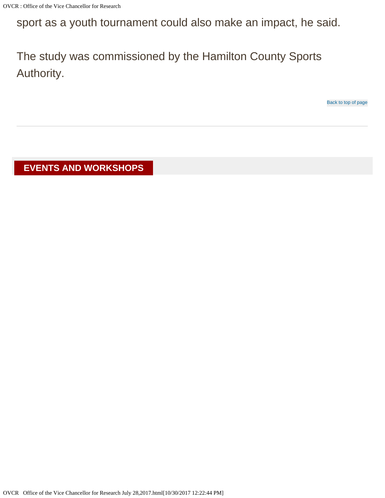sport as a youth tournament could also make an impact, he said.

The study was commissioned by the Hamilton County Sports Authority.

[Back to top of page](#page-0-2)

<span id="page-17-0"></span>**EVENTS AND WORKSHOPS**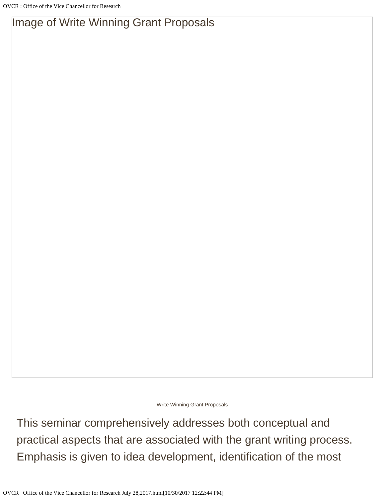### Image of Write Winning Grant Proposals

Write Winning Grant Proposals

This seminar comprehensively addresses both conceptual and practical aspects that are associated with the grant writing process. Emphasis is given to idea development, identification of the most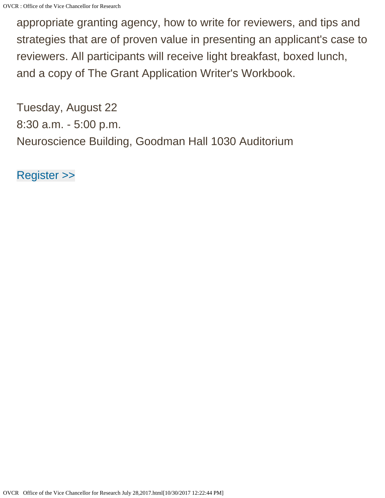appropriate granting agency, how to write for reviewers, and tips and strategies that are of proven value in presenting an applicant's case to reviewers. All participants will receive light breakfast, boxed lunch, and a copy of The Grant Application Writer's Workbook.

Tuesday, August 22 8:30 a.m. - 5:00 p.m. Neuroscience Building, Goodman Hall 1030 Auditorium

[Register >>](http://click.e.iu.edu/?qs=1022abe630853fa0e3704d710ed8e8922af9424a1e78dcdd3c54f4e4e05eb75899f154dd3570185656af252dd9fd7bd0)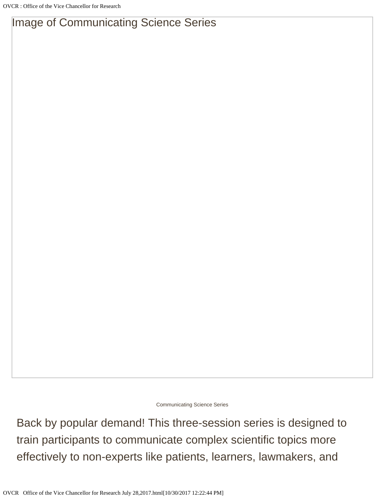### Image of Communicating Science Series

Communicating Science Series

Back by popular demand! This three-session series is designed to train participants to communicate complex scientific topics more effectively to non-experts like patients, learners, lawmakers, and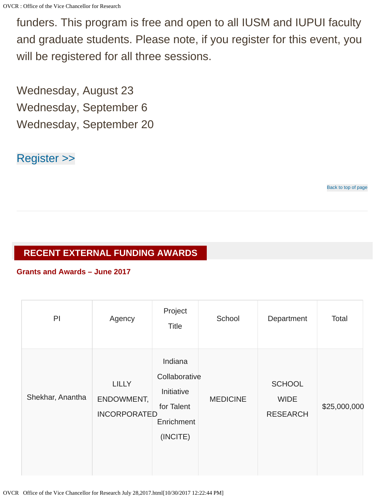funders. This program is free and open to all IUSM and IUPUI faculty and graduate students. Please note, if you register for this event, you will be registered for all three sessions.

Wednesday, August 23 Wednesday, September 6 Wednesday, September 20

#### [Register >>](http://click.e.iu.edu/?qs=1d3965f10a55cdcd82f4f00bb6c302ec5fa0296ecef1e2dcccbde5d2973dedc0d6eac1b62836ccfabe28bd5f382bbfad)

[Back to top of page](#page-0-2)

#### <span id="page-21-0"></span>**RECENT EXTERNAL FUNDING AWARDS**

#### **Grants and Awards – June 2017**

| P                | Agency                                            | Project<br><b>Title</b>                                                        | School          | Department                                      | Total        |
|------------------|---------------------------------------------------|--------------------------------------------------------------------------------|-----------------|-------------------------------------------------|--------------|
| Shekhar, Anantha | <b>LILLY</b><br>ENDOWMENT,<br><b>INCORPORATED</b> | Indiana<br>Collaborative<br>Initiative<br>for Talent<br>Enrichment<br>(INCITE) | <b>MEDICINE</b> | <b>SCHOOL</b><br><b>WIDE</b><br><b>RESEARCH</b> | \$25,000,000 |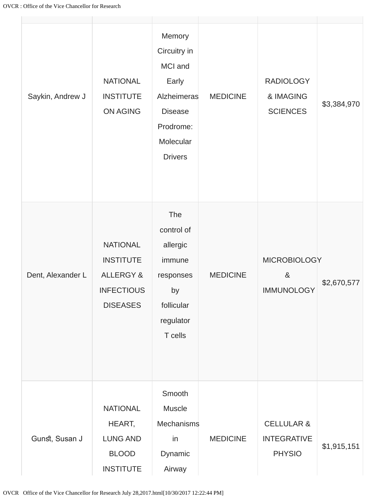| Saykin, Andrew J  | <b>NATIONAL</b><br><b>INSTITUTE</b><br><b>ON AGING</b>                                              | Memory<br>Circuitry in<br>MCI and<br>Early<br>Alzheimeras<br><b>Disease</b><br>Prodrome:<br>Molecular<br><b>Drivers</b> | <b>MEDICINE</b> | <b>RADIOLOGY</b><br>& IMAGING<br><b>SCIENCES</b>             | \$3,384,970 |
|-------------------|-----------------------------------------------------------------------------------------------------|-------------------------------------------------------------------------------------------------------------------------|-----------------|--------------------------------------------------------------|-------------|
| Dent, Alexander L | <b>NATIONAL</b><br><b>INSTITUTE</b><br><b>ALLERGY &amp;</b><br><b>INFECTIOUS</b><br><b>DISEASES</b> | The<br>control of<br>allergic<br>immune<br>responses<br>by<br>follicular<br>regulator<br>T cells                        | <b>MEDICINE</b> | <b>MICROBIOLOGY</b><br>$8\phantom{1}$<br><b>IMMUNOLOGY</b>   | \$2,670,577 |
| Gunst, Susan J    | <b>NATIONAL</b><br>HEART,<br><b>LUNG AND</b><br><b>BLOOD</b><br><b>INSTITUTE</b>                    | Smooth<br>Muscle<br>Mechanisms<br>in<br>Dynamic<br>Airway                                                               | <b>MEDICINE</b> | <b>CELLULAR &amp;</b><br><b>INTEGRATIVE</b><br><b>PHYSIO</b> | \$1,915,151 |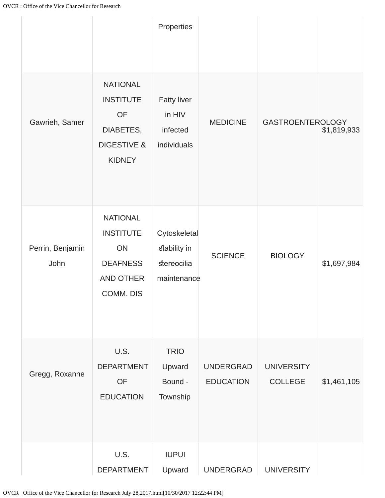|                          |                                                                                                          | Properties                                                 |                                      |                                     |             |
|--------------------------|----------------------------------------------------------------------------------------------------------|------------------------------------------------------------|--------------------------------------|-------------------------------------|-------------|
| Gawrieh, Samer           | <b>NATIONAL</b><br><b>INSTITUTE</b><br><b>OF</b><br>DIABETES,<br><b>DIGESTIVE &amp;</b><br><b>KIDNEY</b> | <b>Fatty liver</b><br>in HIV<br>infected<br>individuals    | <b>MEDICINE</b>                      | <b>GASTROENTEROLOGY</b>             | \$1,819,933 |
| Perrin, Benjamin<br>John | <b>NATIONAL</b><br><b>INSTITUTE</b><br>ON<br><b>DEAFNESS</b><br>AND OTHER<br>COMM. DIS                   | Cytoskeletal<br>stability in<br>stereocilia<br>maintenance | <b>SCIENCE</b>                       | <b>BIOLOGY</b>                      | \$1,697,984 |
| Gregg, Roxanne           | U.S.<br><b>DEPARTMENT</b><br><b>OF</b><br><b>EDUCATION</b>                                               | <b>TRIO</b><br>Upward<br>Bound -<br>Township               | <b>UNDERGRAD</b><br><b>EDUCATION</b> | <b>UNIVERSITY</b><br><b>COLLEGE</b> | \$1,461,105 |
|                          | U.S.<br><b>DEPARTMENT</b>                                                                                | <b>IUPUI</b><br>Upward                                     | <b>UNDERGRAD</b>                     | <b>UNIVERSITY</b>                   |             |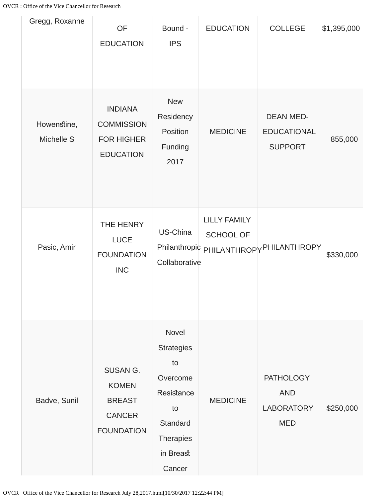| Gregg, Roxanne            | OF<br><b>EDUCATION</b>                                                                 | Bound -<br><b>IPS</b>                                                                                                   | <b>EDUCATION</b>                 | <b>COLLEGE</b>                                                    | \$1,395,000 |
|---------------------------|----------------------------------------------------------------------------------------|-------------------------------------------------------------------------------------------------------------------------|----------------------------------|-------------------------------------------------------------------|-------------|
| Howenstine,<br>Michelle S | <b>INDIANA</b><br><b>COMMISSION</b><br>FOR HIGHER<br><b>EDUCATION</b>                  | <b>New</b><br>Residency<br>Position<br>Funding<br>2017                                                                  | <b>MEDICINE</b>                  | <b>DEAN MED-</b><br><b>EDUCATIONAL</b><br><b>SUPPORT</b>          | 855,000     |
| Pasic, Amir               | THE HENRY<br><b>LUCE</b><br><b>FOUNDATION</b><br><b>INC</b>                            | US-China<br>Collaborative                                                                                               | <b>LILLY FAMILY</b><br>SCHOOL OF | Philanthropic PHILANTHROPY PHILANTHROPY                           | \$330,000   |
| Badve, Sunil              | <b>SUSAN G.</b><br><b>KOMEN</b><br><b>BREAST</b><br><b>CANCER</b><br><b>FOUNDATION</b> | Novel<br><b>Strategies</b><br>to<br>Overcome<br>Resistance<br>to<br>Standard<br><b>Therapies</b><br>in Breast<br>Cancer | <b>MEDICINE</b>                  | <b>PATHOLOGY</b><br><b>AND</b><br><b>LABORATORY</b><br><b>MED</b> | \$250,000   |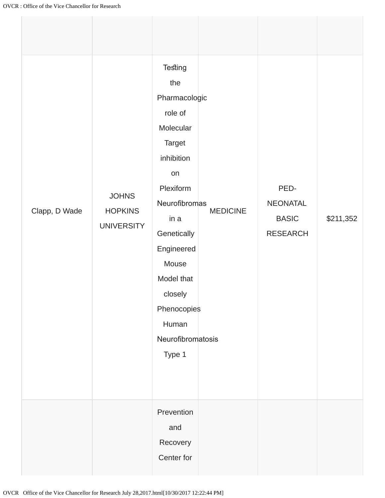| Clapp, D Wade | <b>JOHNS</b><br><b>HOPKINS</b><br><b>UNIVERSITY</b> | <b>Testing</b><br>the<br>Pharmacologic<br>role of<br>Molecular<br>Target<br>inhibition<br>on<br>Plexiform<br>Neurofibromas<br>in a<br>Genetically<br>Engineered<br>Mouse<br>Model that<br>closely<br>Phenocopies<br>Human<br>Neurofibromatosis<br>Type 1 | <b>MEDICINE</b> | PED-<br>NEONATAL<br><b>BASIC</b><br><b>RESEARCH</b> | \$211,352 |
|---------------|-----------------------------------------------------|----------------------------------------------------------------------------------------------------------------------------------------------------------------------------------------------------------------------------------------------------------|-----------------|-----------------------------------------------------|-----------|
|               |                                                     | Prevention<br>and<br>Recovery<br>Center for                                                                                                                                                                                                              |                 |                                                     |           |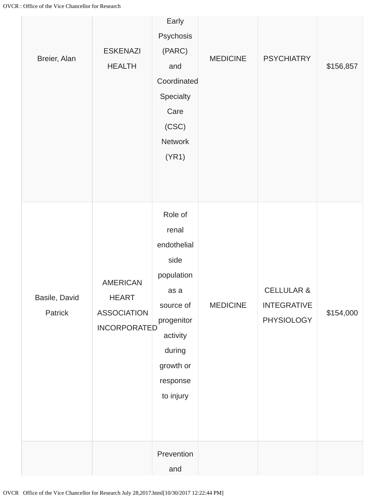| Breier, Alan             | <b>ESKENAZI</b><br><b>HEALTH</b>                                             | Early<br>Psychosis<br>(PARC)<br>and<br>Coordinated<br>Specialty<br>Care<br>(CSC)<br>Network<br>(YR1)      | <b>MEDICINE</b> | <b>PSYCHIATRY</b>                                         | \$156,857 |
|--------------------------|------------------------------------------------------------------------------|-----------------------------------------------------------------------------------------------------------|-----------------|-----------------------------------------------------------|-----------|
|                          |                                                                              | Role of<br>renal<br>endothelial<br>side                                                                   |                 |                                                           |           |
| Basile, David<br>Patrick | <b>AMERICAN</b><br><b>HEART</b><br><b>ASSOCIATION</b><br><b>INCORPORATED</b> | population<br>as a<br>source of<br>progenitor<br>activity<br>during<br>growth or<br>response<br>to injury | <b>MEDICINE</b> | <b>CELLULAR &amp;</b><br><b>INTEGRATIVE</b><br>PHYSIOLOGY | \$154,000 |
|                          |                                                                              | Prevention<br>and                                                                                         |                 |                                                           |           |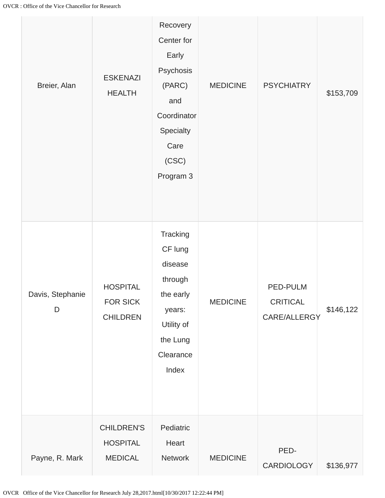| Breier, Alan          | <b>ESKENAZI</b><br><b>HEALTH</b>                       | Recovery<br>Center for<br>Early<br>Psychosis<br>(PARC)<br>and<br>Coordinator<br>Specialty<br>Care<br>(CSC)<br>Program 3 | <b>MEDICINE</b> | <b>PSYCHIATRY</b>                           | \$153,709 |
|-----------------------|--------------------------------------------------------|-------------------------------------------------------------------------------------------------------------------------|-----------------|---------------------------------------------|-----------|
| Davis, Stephanie<br>D | <b>HOSPITAL</b><br>FOR SICK<br><b>CHILDREN</b>         | Tracking<br>CF lung<br>disease<br>through<br>the early<br>years:<br>Utility of<br>the Lung<br>Clearance<br>Index        | <b>MEDICINE</b> | PED-PULM<br><b>CRITICAL</b><br>CARE/ALLERGY | \$146,122 |
| Payne, R. Mark        | <b>CHILDREN'S</b><br><b>HOSPITAL</b><br><b>MEDICAL</b> | Pediatric<br>Heart<br>Network                                                                                           | <b>MEDICINE</b> | PED-<br>CARDIOLOGY                          | \$136,977 |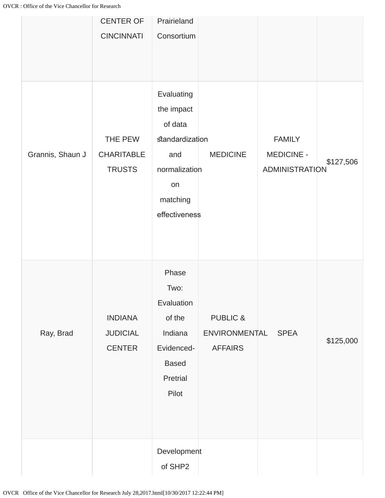|                  | <b>CENTER OF</b><br><b>CINCINNATI</b>              | Prairieland<br>Consortium                                                                                         |                                                        |                                                      |           |
|------------------|----------------------------------------------------|-------------------------------------------------------------------------------------------------------------------|--------------------------------------------------------|------------------------------------------------------|-----------|
| Grannis, Shaun J | THE PEW<br><b>CHARITABLE</b><br><b>TRUSTS</b>      | Evaluating<br>the impact<br>of data<br>standardization<br>and<br>normalization<br>on<br>matching<br>effectiveness | <b>MEDICINE</b>                                        | <b>FAMILY</b><br>MEDICINE -<br><b>ADMINISTRATION</b> | \$127,506 |
| Ray, Brad        | <b>INDIANA</b><br><b>JUDICIAL</b><br><b>CENTER</b> | Phase<br>Two:<br>Evaluation<br>of the<br>Indiana<br>Evidenced-<br><b>Based</b><br>Pretrial<br>Pilot               | <b>PUBLIC &amp;</b><br>ENVIRONMENTAL<br><b>AFFAIRS</b> | <b>SPEA</b>                                          | \$125,000 |
|                  |                                                    | Development<br>of SHP2                                                                                            |                                                        |                                                      |           |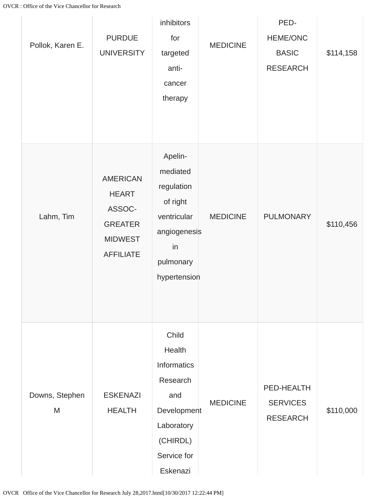| Pollok, Karen E.    | <b>PURDUE</b><br><b>UNIVERSITY</b>                                                                | inhibitors<br>for<br>targeted<br>anti-<br>cancer<br>therapy                                                           | <b>MEDICINE</b> | PED-<br>HEME/ONC<br><b>BASIC</b><br><b>RESEARCH</b> | \$114,158 |
|---------------------|---------------------------------------------------------------------------------------------------|-----------------------------------------------------------------------------------------------------------------------|-----------------|-----------------------------------------------------|-----------|
| Lahm, Tim           | <b>AMERICAN</b><br><b>HEART</b><br>ASSOC-<br><b>GREATER</b><br><b>MIDWEST</b><br><b>AFFILIATE</b> | Apelin-<br>mediated<br>regulation<br>of right<br>ventricular<br>angiogenesis<br>in<br>pulmonary<br>hypertension       | <b>MEDICINE</b> | <b>PULMONARY</b>                                    | \$110,456 |
| Downs, Stephen<br>M | <b>ESKENAZI</b><br><b>HEALTH</b>                                                                  | Child<br>Health<br>Informatics<br>Research<br>and<br>Development<br>Laboratory<br>(CHIRDL)<br>Service for<br>Eskenazi | <b>MEDICINE</b> | PED-HEALTH<br><b>SERVICES</b><br><b>RESEARCH</b>    | \$110,000 |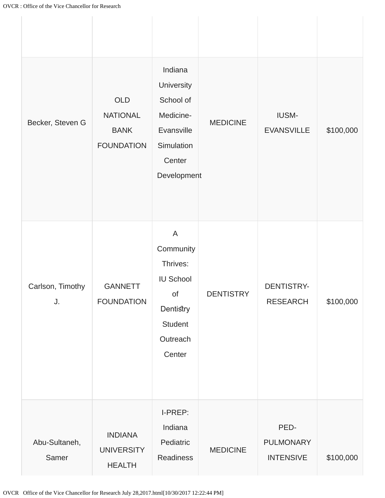| Becker, Steven G       | OLD<br><b>NATIONAL</b><br><b>BANK</b><br><b>FOUNDATION</b> | Indiana<br>University<br>School of<br>Medicine-<br>Evansville<br>Simulation<br>Center<br>Development | <b>MEDICINE</b>  | <b>IUSM-</b><br><b>EVANSVILLE</b>     | \$100,000 |
|------------------------|------------------------------------------------------------|------------------------------------------------------------------------------------------------------|------------------|---------------------------------------|-----------|
| Carlson, Timothy<br>J. | <b>GANNETT</b><br><b>FOUNDATION</b>                        | A<br>Community<br>Thrives:<br><b>IU School</b><br>of<br>Dentistry<br>Student<br>Outreach<br>Center   | <b>DENTISTRY</b> | <b>DENTISTRY-</b><br><b>RESEARCH</b>  | \$100,000 |
| Abu-Sultaneh,<br>Samer | <b>INDIANA</b><br><b>UNIVERSITY</b><br><b>HEALTH</b>       | I-PREP:<br>Indiana<br>Pediatric<br>Readiness                                                         | <b>MEDICINE</b>  | PED-<br>PULMONARY<br><b>INTENSIVE</b> | \$100,000 |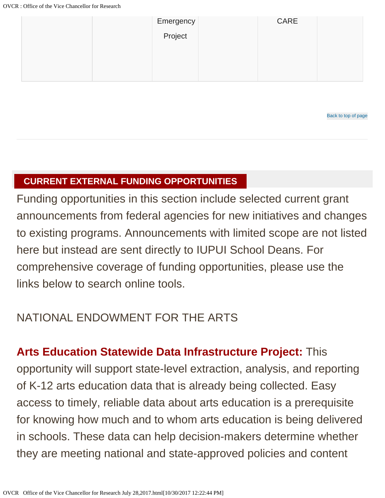| Emergency | CARE |  |
|-----------|------|--|
| Project   |      |  |
|           |      |  |
|           |      |  |
|           |      |  |

[Back to top of page](#page-0-2)

#### <span id="page-31-0"></span>**CURRENT EXTERNAL FUNDING OPPORTUNITIES**

Funding opportunities in this section include selected current grant announcements from federal agencies for new initiatives and changes to existing programs. Announcements with limited scope are not listed here but instead are sent directly to IUPUI School Deans. For comprehensive coverage of funding opportunities, please use the links below to search online tools.

### NATIONAL ENDOWMENT FOR THE ARTS

**Arts Education Statewide Data Infrastructure Project:** This opportunity will support state-level extraction, analysis, and reporting of K-12 arts education data that is already being collected. Easy access to timely, reliable data about arts education is a prerequisite for knowing how much and to whom arts education is being delivered in schools. These data can help decision-makers determine whether they are meeting national and state-approved policies and content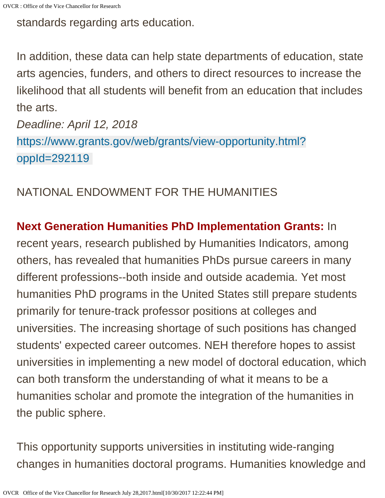OVCR : Office of the Vice Chancellor for Research

standards regarding arts education.

In addition, these data can help state departments of education, state arts agencies, funders, and others to direct resources to increase the likelihood that all students will benefit from an education that includes the arts.

*Deadline: April 12, 2018* [https://www.grants.gov/web/grants/view-opportunity.html?](https://www.grants.gov/web/grants/view-opportunity.html?oppId=292119) [oppId=292119](https://www.grants.gov/web/grants/view-opportunity.html?oppId=292119)

### NATIONAL ENDOWMENT FOR THE HUMANITIES

**Next Generation Humanities PhD Implementation Grants:** In recent years, research published by Humanities Indicators, among others, has revealed that humanities PhDs pursue careers in many different professions--both inside and outside academia. Yet most humanities PhD programs in the United States still prepare students primarily for tenure-track professor positions at colleges and universities. The increasing shortage of such positions has changed students' expected career outcomes. NEH therefore hopes to assist universities in implementing a new model of doctoral education, which can both transform the understanding of what it means to be a humanities scholar and promote the integration of the humanities in the public sphere.

This opportunity supports universities in instituting wide-ranging changes in humanities doctoral programs. Humanities knowledge and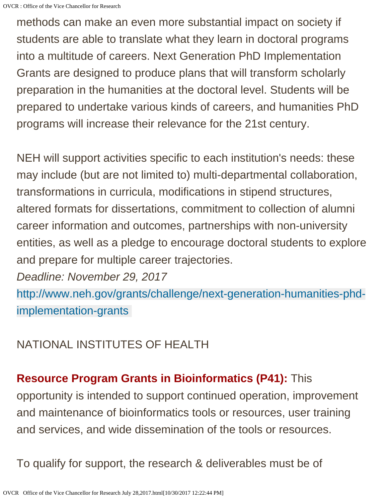methods can make an even more substantial impact on society if students are able to translate what they learn in doctoral programs into a multitude of careers. Next Generation PhD Implementation Grants are designed to produce plans that will transform scholarly preparation in the humanities at the doctoral level. Students will be prepared to undertake various kinds of careers, and humanities PhD programs will increase their relevance for the 21st century.

NEH will support activities specific to each institution's needs: these may include (but are not limited to) multi-departmental collaboration, transformations in curricula, modifications in stipend structures, altered formats for dissertations, commitment to collection of alumni career information and outcomes, partnerships with non-university entities, as well as a pledge to encourage doctoral students to explore and prepare for multiple career trajectories.

*Deadline: November 29, 2017*

[http://www.neh.gov/grants/challenge/next-generation-humanities-phd](http://www.neh.gov/grants/challenge/next-generation-humanities-phd-implementation-grants)[implementation-grants](http://www.neh.gov/grants/challenge/next-generation-humanities-phd-implementation-grants)

### NATIONAL INSTITUTES OF HEALTH

### **Resource Program Grants in Bioinformatics (P41):** This

opportunity is intended to support continued operation, improvement and maintenance of bioinformatics tools or resources, user training and services, and wide dissemination of the tools or resources.

To qualify for support, the research & deliverables must be of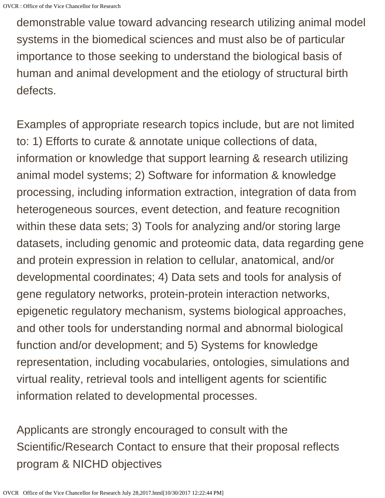demonstrable value toward advancing research utilizing animal model systems in the biomedical sciences and must also be of particular importance to those seeking to understand the biological basis of human and animal development and the etiology of structural birth defects.

Examples of appropriate research topics include, but are not limited to: 1) Efforts to curate & annotate unique collections of data, information or knowledge that support learning & research utilizing animal model systems; 2) Software for information & knowledge processing, including information extraction, integration of data from heterogeneous sources, event detection, and feature recognition within these data sets; 3) Tools for analyzing and/or storing large datasets, including genomic and proteomic data, data regarding gene and protein expression in relation to cellular, anatomical, and/or developmental coordinates; 4) Data sets and tools for analysis of gene regulatory networks, protein-protein interaction networks, epigenetic regulatory mechanism, systems biological approaches, and other tools for understanding normal and abnormal biological function and/or development; and 5) Systems for knowledge representation, including vocabularies, ontologies, simulations and virtual reality, retrieval tools and intelligent agents for scientific information related to developmental processes.

Applicants are strongly encouraged to consult with the Scientific/Research Contact to ensure that their proposal reflects program & NICHD objectives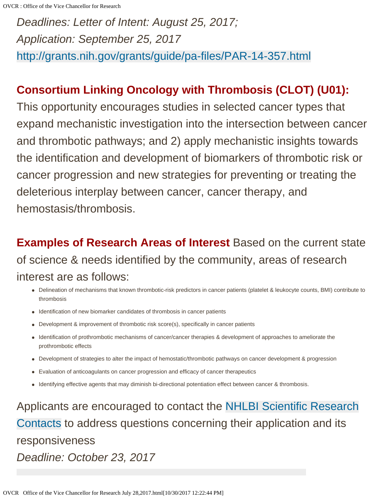*Deadlines: Letter of Intent: August 25, 2017; Application: September 25, 2017* <http://grants.nih.gov/grants/guide/pa-files/PAR-14-357.html>

### **Consortium Linking Oncology with Thrombosis (CLOT) (U01):**

This opportunity encourages studies in selected cancer types that expand mechanistic investigation into the intersection between cancer and thrombotic pathways; and 2) apply mechanistic insights towards the identification and development of biomarkers of thrombotic risk or cancer progression and new strategies for preventing or treating the deleterious interplay between cancer, cancer therapy, and hemostasis/thrombosis.

**Examples of Research Areas of Interest** Based on the current state of science & needs identified by the community, areas of research interest are as follows:

- Delineation of mechanisms that known thrombotic-risk predictors in cancer patients (platelet & leukocyte counts, BMI) contribute to thrombosis
- Identification of new biomarker candidates of thrombosis in cancer patients
- Development & improvement of thrombotic risk score(s), specifically in cancer patients
- Identification of prothrombotic mechanisms of cancer/cancer therapies & development of approaches to ameliorate the prothrombotic effects
- Development of strategies to alter the impact of hemostatic/thrombotic pathways on cancer development & progression
- Evaluation of anticoagulants on cancer progression and efficacy of cancer therapeutics
- Identifying effective agents that may diminish bi-directional potentiation effect between cancer & thrombosis.

Applicants are encouraged to contact the [NHLBI Scientific Research](https://grants.nih.gov/grants/guide/rfa-files/RFA-HL-18-021.html#_Scientific/Research_Contact(s)) [Contacts](https://grants.nih.gov/grants/guide/rfa-files/RFA-HL-18-021.html#_Scientific/Research_Contact(s)) to address questions concerning their application and its responsiveness *Deadline: October 23, 2017*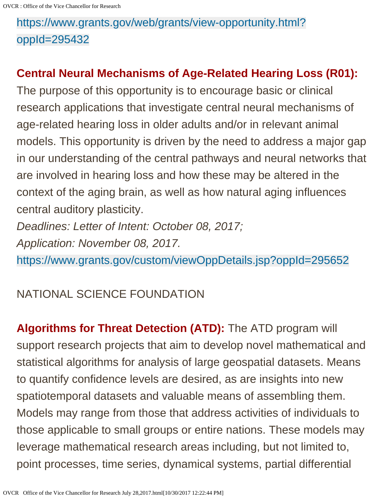## [https://www.grants.gov/web/grants/view-opportunity.html?](https://www.grants.gov/web/grants/view-opportunity.html?oppId=295432) [oppId=295432](https://www.grants.gov/web/grants/view-opportunity.html?oppId=295432)

### **Central Neural Mechanisms of Age-Related Hearing Loss (R01):**

The purpose of this opportunity is to encourage basic or clinical research applications that investigate central neural mechanisms of age-related hearing loss in older adults and/or in relevant animal models. This opportunity is driven by the need to address a major gap in our understanding of the central pathways and neural networks that are involved in hearing loss and how these may be altered in the context of the aging brain, as well as how natural aging influences central auditory plasticity.

*Deadlines: Letter of Intent: October 08, 2017; Application: November 08, 2017.* 

<https://www.grants.gov/custom/viewOppDetails.jsp?oppId=295652>

### NATIONAL SCIENCE FOUNDATION

**Algorithms for Threat Detection (ATD):** The ATD program will support research projects that aim to develop novel mathematical and statistical algorithms for analysis of large geospatial datasets. Means to quantify confidence levels are desired, as are insights into new spatiotemporal datasets and valuable means of assembling them. Models may range from those that address activities of individuals to those applicable to small groups or entire nations. These models may leverage mathematical research areas including, but not limited to, point processes, time series, dynamical systems, partial differential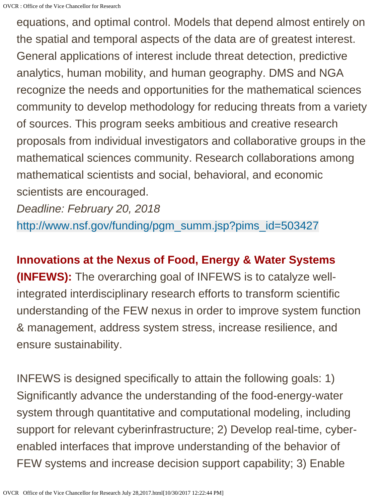equations, and optimal control. Models that depend almost entirely on the spatial and temporal aspects of the data are of greatest interest. General applications of interest include threat detection, predictive analytics, human mobility, and human geography. DMS and NGA recognize the needs and opportunities for the mathematical sciences community to develop methodology for reducing threats from a variety of sources. This program seeks ambitious and creative research proposals from individual investigators and collaborative groups in the mathematical sciences community. Research collaborations among mathematical scientists and social, behavioral, and economic scientists are encouraged.

*Deadline: February 20, 2018*

[http://www.nsf.gov/funding/pgm\\_summ.jsp?pims\\_id=503427](http://www.nsf.gov/funding/pgm_summ.jsp?pims_id=503427)

### **Innovations at the Nexus of Food, Energy & Water Systems**

**(INFEWS):** The overarching goal of INFEWS is to catalyze wellintegrated interdisciplinary research efforts to transform scientific understanding of the FEW nexus in order to improve system function & management, address system stress, increase resilience, and ensure sustainability.

INFEWS is designed specifically to attain the following goals: 1) Significantly advance the understanding of the food-energy-water system through quantitative and computational modeling, including support for relevant cyberinfrastructure; 2) Develop real-time, cyberenabled interfaces that improve understanding of the behavior of FEW systems and increase decision support capability; 3) Enable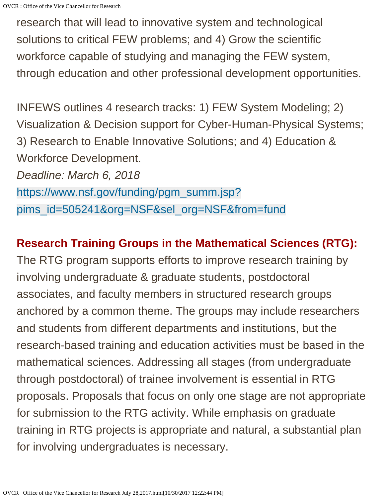research that will lead to innovative system and technological solutions to critical FEW problems; and 4) Grow the scientific workforce capable of studying and managing the FEW system, through education and other professional development opportunities.

INFEWS outlines 4 research tracks: 1) FEW System Modeling; 2) Visualization & Decision support for Cyber-Human-Physical Systems; 3) Research to Enable Innovative Solutions; and 4) Education & Workforce Development. *Deadline: March 6, 2018* [https://www.nsf.gov/funding/pgm\\_summ.jsp?](https://www.nsf.gov/funding/pgm_summ.jsp?pims_id=505241&org=NSF&sel_org=NSF&from=fund)

[pims\\_id=505241&org=NSF&sel\\_org=NSF&from=fund](https://www.nsf.gov/funding/pgm_summ.jsp?pims_id=505241&org=NSF&sel_org=NSF&from=fund)

### **Research Training Groups in the Mathematical Sciences (RTG):**

The RTG program supports efforts to improve research training by involving undergraduate & graduate students, postdoctoral associates, and faculty members in structured research groups anchored by a common theme. The groups may include researchers and students from different departments and institutions, but the research-based training and education activities must be based in the mathematical sciences. Addressing all stages (from undergraduate through postdoctoral) of trainee involvement is essential in RTG proposals. Proposals that focus on only one stage are not appropriate for submission to the RTG activity. While emphasis on graduate training in RTG projects is appropriate and natural, a substantial plan for involving undergraduates is necessary.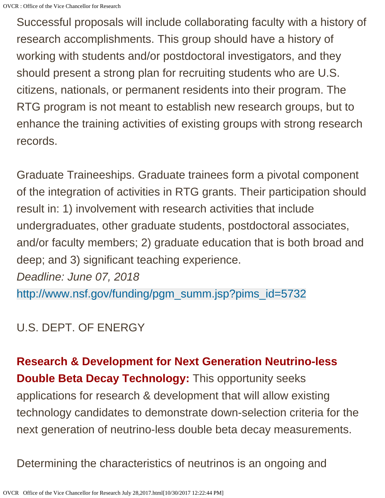Successful proposals will include collaborating faculty with a history of research accomplishments. This group should have a history of working with students and/or postdoctoral investigators, and they should present a strong plan for recruiting students who are U.S. citizens, nationals, or permanent residents into their program. The RTG program is not meant to establish new research groups, but to enhance the training activities of existing groups with strong research records.

Graduate Traineeships. Graduate trainees form a pivotal component of the integration of activities in RTG grants. Their participation should result in: 1) involvement with research activities that include undergraduates, other graduate students, postdoctoral associates, and/or faculty members; 2) graduate education that is both broad and deep; and 3) significant teaching experience. *Deadline: June 07, 2018* [http://www.nsf.gov/funding/pgm\\_summ.jsp?pims\\_id=5732](http://www.nsf.gov/funding/pgm_summ.jsp?pims_id=5732)

### U.S. DEPT. OF ENERGY

**Research & Development for Next Generation Neutrino-less Double Beta Decay Technology:** This opportunity seeks applications for research & development that will allow existing technology candidates to demonstrate down-selection criteria for the next generation of neutrino-less double beta decay measurements.

Determining the characteristics of neutrinos is an ongoing and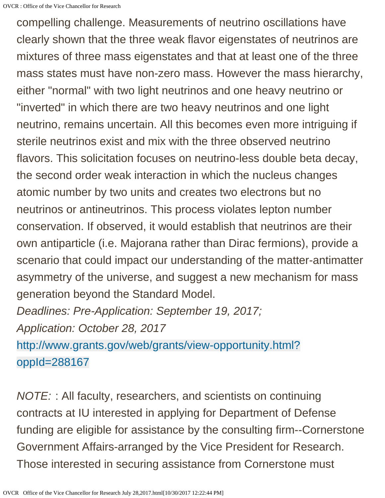compelling challenge. Measurements of neutrino oscillations have clearly shown that the three weak flavor eigenstates of neutrinos are mixtures of three mass eigenstates and that at least one of the three mass states must have non-zero mass. However the mass hierarchy, either "normal" with two light neutrinos and one heavy neutrino or "inverted" in which there are two heavy neutrinos and one light neutrino, remains uncertain. All this becomes even more intriguing if sterile neutrinos exist and mix with the three observed neutrino flavors. This solicitation focuses on neutrino-less double beta decay, the second order weak interaction in which the nucleus changes atomic number by two units and creates two electrons but no neutrinos or antineutrinos. This process violates lepton number conservation. If observed, it would establish that neutrinos are their own antiparticle (i.e. Majorana rather than Dirac fermions), provide a scenario that could impact our understanding of the matter-antimatter asymmetry of the universe, and suggest a new mechanism for mass generation beyond the Standard Model.

*Deadlines: Pre-Application: September 19, 2017; Application: October 28, 2017*

[http://www.grants.gov/web/grants/view-opportunity.html?](http://www.grants.gov/web/grants/view-opportunity.html?oppId=288167) [oppId=288167](http://www.grants.gov/web/grants/view-opportunity.html?oppId=288167)

*NOTE:* : All faculty, researchers, and scientists on continuing contracts at IU interested in applying for Department of Defense funding are eligible for assistance by the consulting firm--Cornerstone Government Affairs-arranged by the Vice President for Research. Those interested in securing assistance from Cornerstone must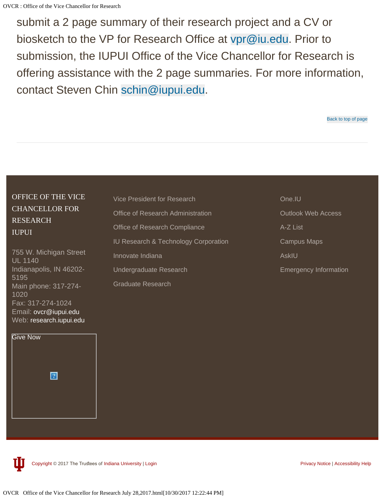submit a 2 page summary of their research project and a CV or biosketch to the VP for Research Office at [vpr@iu.edu](mailto:vpr@iu.edu). Prior to submission, the IUPUI Office of the Vice Chancellor for Research is offering assistance with the 2 page summaries. For more information, contact Steven Chin [schin@iupui.edu](mailto:schin@iupui.edu).

#### OFFICE OF THE VICE CHANCELLOR FOR RESEARCH IUPUI

755 W. Michigan Street UL 1140 Indianapolis, IN 46202- 5195 Main phone: 317-274- 1020 Fax: 317-274-1024 Email: [ovcr@iupui.edu](mailto:ovcr@iupui.edu) Web: [research.iupui.edu](http://research.iupui.edu/)



[Vice President for Research](http://www.iu.edu/~vpr/) [Office of Research Administration](http://researchadmin.iu.edu/) [Office of Research Compliance](http://researchcompliance.iu.edu/index.html) [IU Research & Technology Corporation](http://iurtc.iu.edu/) [Innovate Indiana](http://innovateindiana.iu.edu/) [Undergraduate Research](http://crl.iupui.edu/) [Graduate Research](http://graduate.iupui.edu/academics-research/index.shtml)

[One.IU](https://one.iu.edu/) [Outlook Web Access](https://www.exchange.iu.edu/) [A-Z List](https://www.iupui.edu/about/a-z/index.html) [Campus Maps](http://map.iupui.edu/) [AskIU](https://uits.iu.edu/askiu) [Emergency Information](https://www.iupui.edu/about/safety.html)